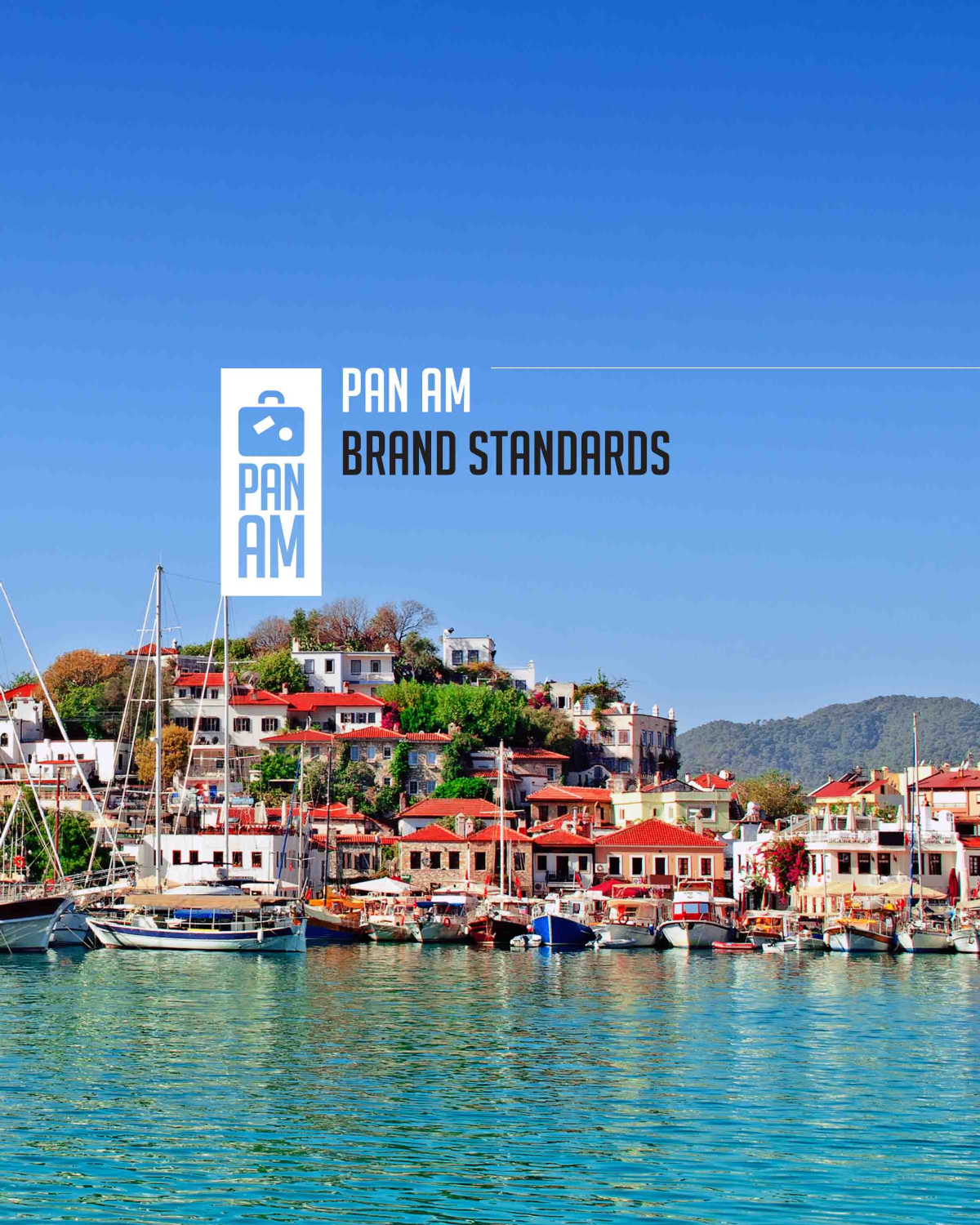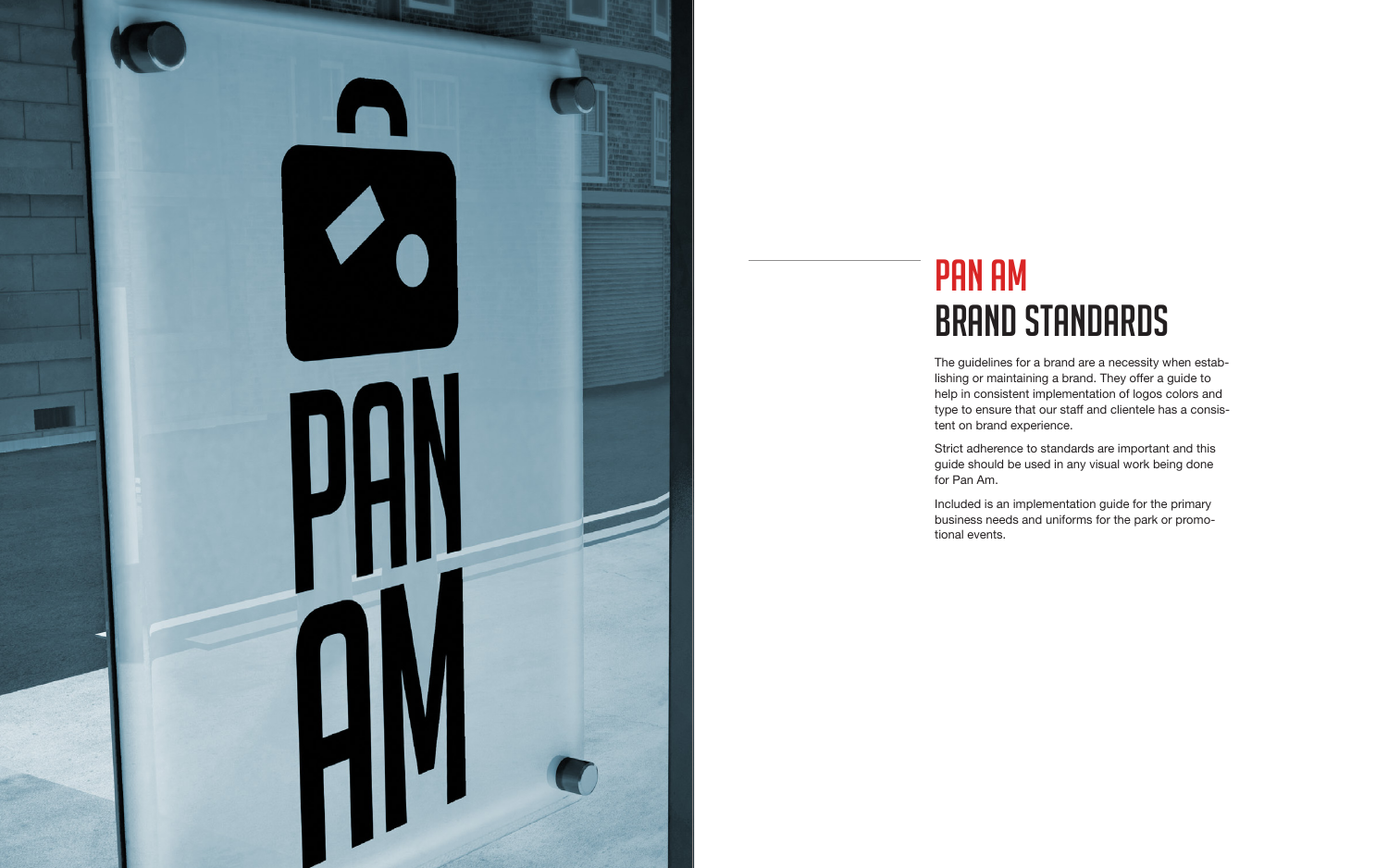

# PAN AM **BRAND STANDARDS**

The guidelines for a brand are a necessity when establishing or maintaining a brand. They offer a guide to help in consistent implementation of logos colors and type to ensure that our staff and clientele has a consistent on brand experience.

Strict adherence to standards are important and this guide should be used in any visual work being done for Pan Am.

Included is an implementation guide for the primary business needs and uniforms for the park or promotional events.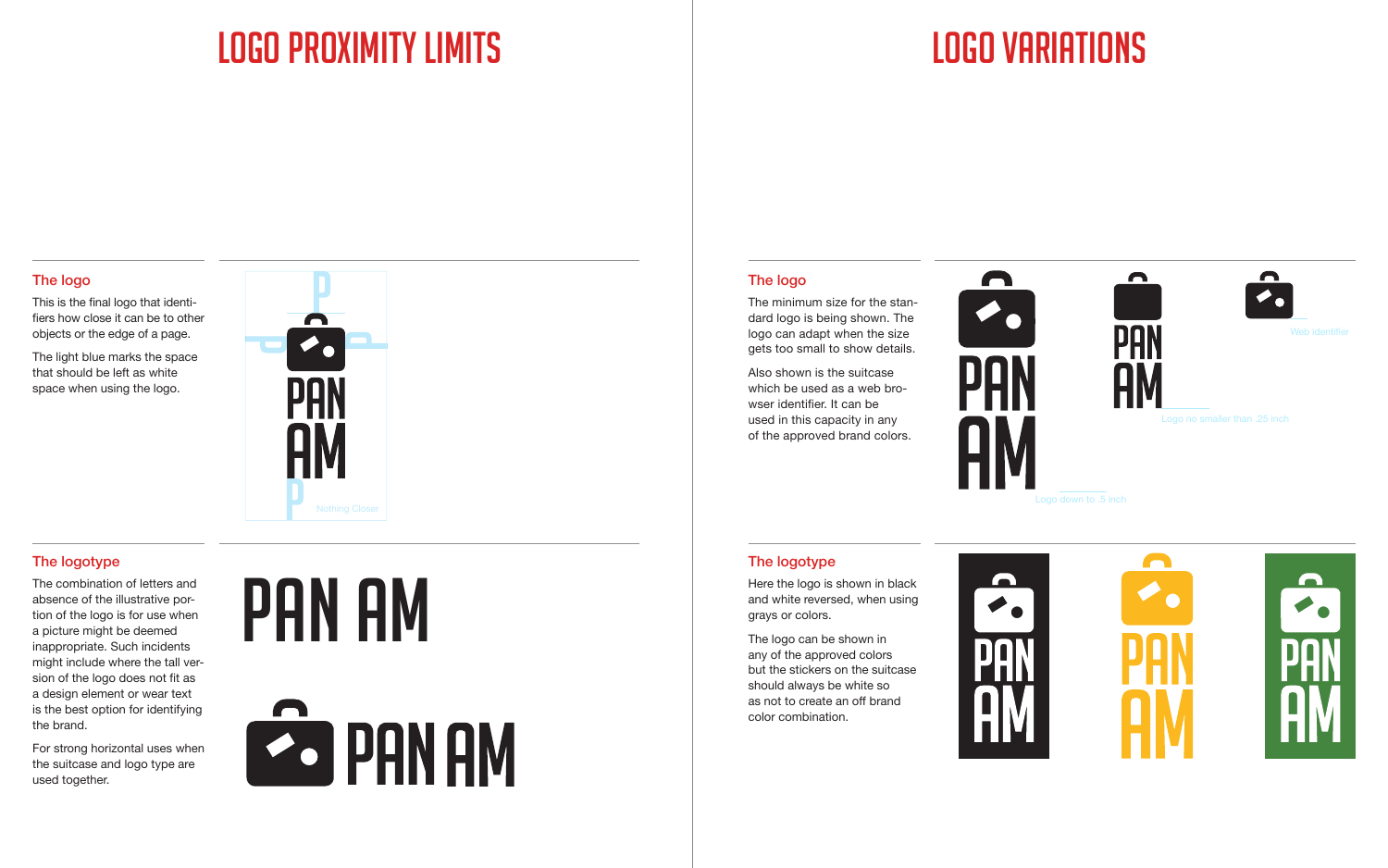This is the final logo that identifiers how close it can be to other objects or the edge of a page.

The light blue marks the space that should be left as white space when using the logo.

The minimum size for the standard logo is being shown. The logo can adapt when the size gets too small to show details.

Also shown is the suitcase which be used as a web browser identifier. It can be used in this capacity in any of the approved brand colors.



The combination of letters and absence of the illustrative portion of the logo is for use when a picture might be deemed inappropriate. Such incidents might include where the tall version of the logo does not fit as a design element or wear text is the best option for identifying the brand.

For strong horizontal uses when the suitcase and logo type are used together.

# PAN AM



Here the logo is shown in black and white reversed, when using grays or colors.

The logo can be shown in any of the approved colors but the stickers on the suitcase should always be white so as not to create an off brand color combination.





# Logo proximity limits Logo variations



### The logotype The logotype The logotype

Logo down to .5 inch